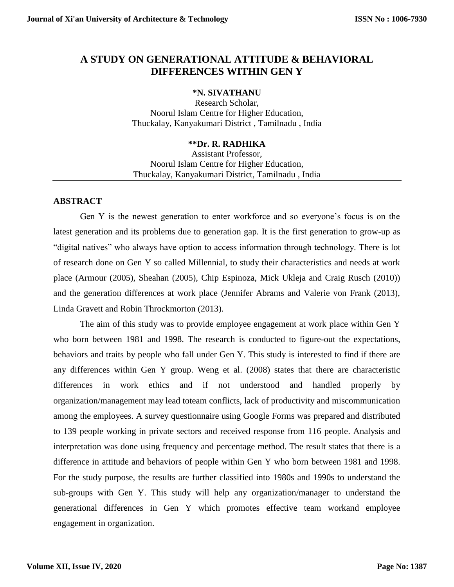# **A STUDY ON GENERATIONAL ATTITUDE & BEHAVIORAL DIFFERENCES WITHIN GEN Y**

#### **\*N. SIVATHANU**

Research Scholar, Noorul Islam Centre for Higher Education, Thuckalay, Kanyakumari District , Tamilnadu , India

## **\*\*Dr. R. RADHIKA**

Assistant Professor, Noorul Islam Centre for Higher Education, Thuckalay, Kanyakumari District, Tamilnadu , India

# **ABSTRACT**

Gen Y is the newest generation to enter workforce and so everyone's focus is on the latest generation and its problems due to generation gap. It is the first generation to grow-up as "digital natives" who always have option to access information through technology. There is lot of research done on Gen Y so called Millennial, to study their characteristics and needs at work place (Armour (2005), Sheahan (2005), Chip Espinoza, Mick Ukleja and Craig Rusch (2010)) and the generation differences at work place (Jennifer Abrams and Valerie von Frank (2013), Linda Gravett and Robin Throckmorton (2013).

The aim of this study was to provide employee engagement at work place within Gen Y who born between 1981 and 1998. The research is conducted to figure-out the expectations, behaviors and traits by people who fall under Gen Y. This study is interested to find if there are any differences within Gen Y group. Weng et al. (2008) states that there are characteristic differences in work ethics and if not understood and handled properly by organization/management may lead toteam conflicts, lack of productivity and miscommunication among the employees. A survey questionnaire using Google Forms was prepared and distributed to 139 people working in private sectors and received response from 116 people. Analysis and interpretation was done using frequency and percentage method. The result states that there is a difference in attitude and behaviors of people within Gen Y who born between 1981 and 1998. For the study purpose, the results are further classified into 1980s and 1990s to understand the sub-groups with Gen Y. This study will help any organization/manager to understand the generational differences in Gen Y which promotes effective team workand employee engagement in organization.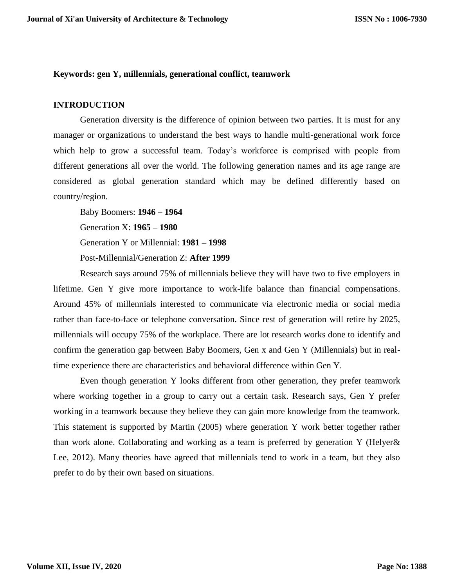#### **Keywords: gen Y, millennials, generational conflict, teamwork**

#### **INTRODUCTION**

Generation diversity is the difference of opinion between two parties. It is must for any manager or organizations to understand the best ways to handle multi-generational work force which help to grow a successful team. Today's workforce is comprised with people from different generations all over the world. The following generation names and its age range are considered as global generation standard which may be defined differently based on country/region.

Baby Boomers: **1946 – 1964** Generation X: **1965 – 1980** Generation Y or Millennial: **1981 – 1998** Post-Millennial/Generation Z: **After 1999**

Research says around 75% of millennials believe they will have two to five employers in lifetime. Gen Y give more importance to work-life balance than financial compensations. Around 45% of millennials interested to communicate via electronic media or social media rather than face-to-face or telephone conversation. Since rest of generation will retire by 2025, millennials will occupy 75% of the workplace. There are lot research works done to identify and confirm the generation gap between Baby Boomers, Gen x and Gen Y (Millennials) but in realtime experience there are characteristics and behavioral difference within Gen Y.

Even though generation Y looks different from other generation, they prefer teamwork where working together in a group to carry out a certain task. Research says, Gen Y prefer working in a teamwork because they believe they can gain more knowledge from the teamwork. This statement is supported by Martin (2005) where generation Y work better together rather than work alone. Collaborating and working as a team is preferred by generation Y (Helyer& Lee, 2012). Many theories have agreed that millennials tend to work in a team, but they also prefer to do by their own based on situations.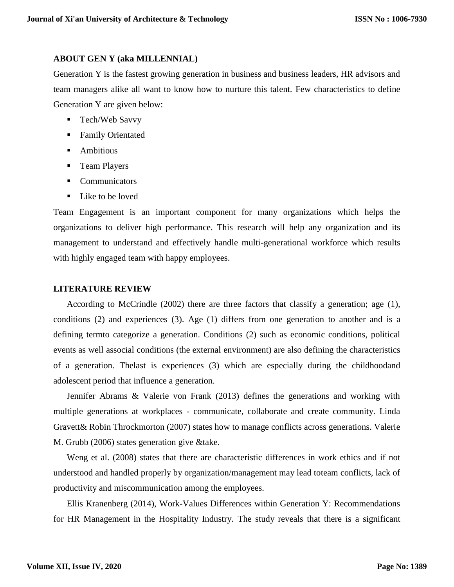#### **ABOUT GEN Y (aka MILLENNIAL)**

Generation Y is the fastest growing generation in business and business leaders, HR advisors and team managers alike all want to know how to nurture this talent. Few characteristics to define Generation Y are given below:

- Tech/Web Savvy
- Family Orientated
- **Ambitious**
- **Team Players**
- Communicators
- Like to be loved

Team Engagement is an important component for many organizations which helps the organizations to deliver high performance. This research will help any organization and its management to understand and effectively handle multi-generational workforce which results with highly engaged team with happy employees.

#### **LITERATURE REVIEW**

According to McCrindle (2002) there are three factors that classify a generation; age (1), conditions (2) and experiences (3). Age (1) differs from one generation to another and is a defining termto categorize a generation. Conditions (2) such as economic conditions, political events as well associal conditions (the external environment) are also defining the characteristics of a generation. Thelast is experiences (3) which are especially during the childhoodand adolescent period that influence a generation.

Jennifer Abrams & Valerie von Frank (2013) defines the generations and working with multiple generations at workplaces - communicate, collaborate and create community. Linda Gravett& Robin Throckmorton (2007) states how to manage conflicts across generations. Valerie M. Grubb (2006) states generation give &take.

Weng et al. (2008) states that there are characteristic differences in work ethics and if not understood and handled properly by organization/management may lead toteam conflicts, lack of productivity and miscommunication among the employees.

Ellis Kranenberg (2014), Work-Values Differences within Generation Y: Recommendations for HR Management in the Hospitality Industry. The study reveals that there is a significant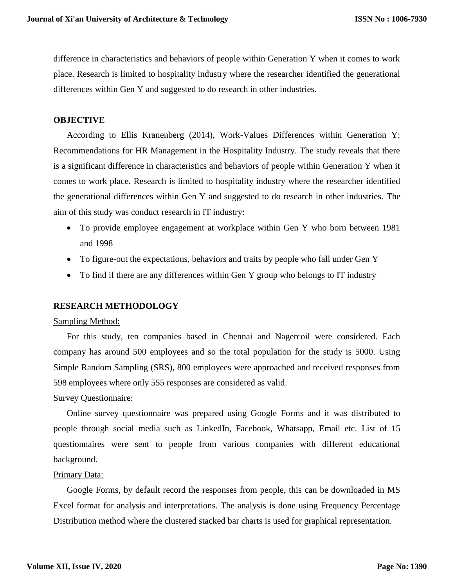difference in characteristics and behaviors of people within Generation Y when it comes to work place. Research is limited to hospitality industry where the researcher identified the generational differences within Gen Y and suggested to do research in other industries.

#### **OBJECTIVE**

According to Ellis Kranenberg (2014), Work-Values Differences within Generation Y: Recommendations for HR Management in the Hospitality Industry. The study reveals that there is a significant difference in characteristics and behaviors of people within Generation Y when it comes to work place. Research is limited to hospitality industry where the researcher identified the generational differences within Gen Y and suggested to do research in other industries. The aim of this study was conduct research in IT industry:

- To provide employee engagement at workplace within Gen Y who born between 1981 and 1998
- To figure-out the expectations, behaviors and traits by people who fall under Gen Y
- To find if there are any differences within Gen Y group who belongs to IT industry

## **RESEARCH METHODOLOGY**

#### Sampling Method:

For this study, ten companies based in Chennai and Nagercoil were considered. Each company has around 500 employees and so the total population for the study is 5000. Using Simple Random Sampling (SRS), 800 employees were approached and received responses from 598 employees where only 555 responses are considered as valid.

## Survey Questionnaire:

Online survey questionnaire was prepared using Google Forms and it was distributed to people through social media such as LinkedIn, Facebook, Whatsapp, Email etc. List of 15 questionnaires were sent to people from various companies with different educational background.

#### Primary Data:

Google Forms, by default record the responses from people, this can be downloaded in MS Excel format for analysis and interpretations. The analysis is done using Frequency Percentage Distribution method where the clustered stacked bar charts is used for graphical representation.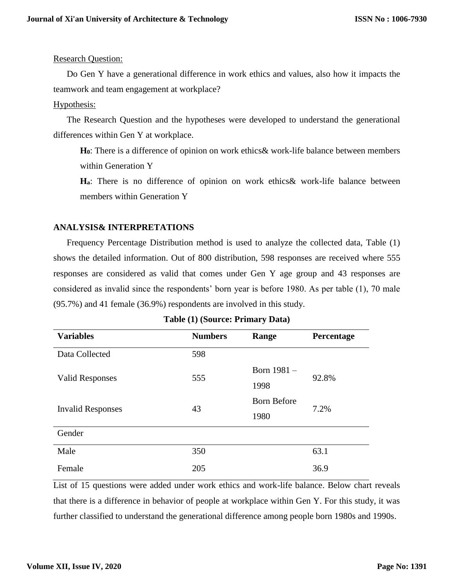## Research Question:

Do Gen Y have a generational difference in work ethics and values, also how it impacts the teamwork and team engagement at workplace?

## Hypothesis:

The Research Question and the hypotheses were developed to understand the generational differences within Gen Y at workplace.

**H0**: There is a difference of opinion on work ethics& work-life balance between members within Generation Y

**Ha**: There is no difference of opinion on work ethics& work-life balance between members within Generation Y

# **ANALYSIS& INTERPRETATIONS**

Frequency Percentage Distribution method is used to analyze the collected data, Table (1) shows the detailed information. Out of 800 distribution, 598 responses are received where 555 responses are considered as valid that comes under Gen Y age group and 43 responses are considered as invalid since the respondents' born year is before 1980. As per table (1), 70 male (95.7%) and 41 female (36.9%) respondents are involved in this study.

| <b>Variables</b>         | <b>Numbers</b> | Range              | Percentage |  |
|--------------------------|----------------|--------------------|------------|--|
| Data Collected           | 598            |                    |            |  |
| <b>Valid Responses</b>   | 555            | Born 1981 -        | 92.8%      |  |
|                          |                | 1998               |            |  |
| <b>Invalid Responses</b> | 43             | <b>Born Before</b> | 7.2%       |  |
|                          |                | 1980               |            |  |
| Gender                   |                |                    |            |  |
| Male                     | 350            |                    | 63.1       |  |
| Female                   | 205            |                    | 36.9       |  |

|  | Table (1) (Source: Primary Data) |  |  |
|--|----------------------------------|--|--|
|--|----------------------------------|--|--|

List of 15 questions were added under work ethics and work-life balance. Below chart reveals that there is a difference in behavior of people at workplace within Gen Y. For this study, it was further classified to understand the generational difference among people born 1980s and 1990s.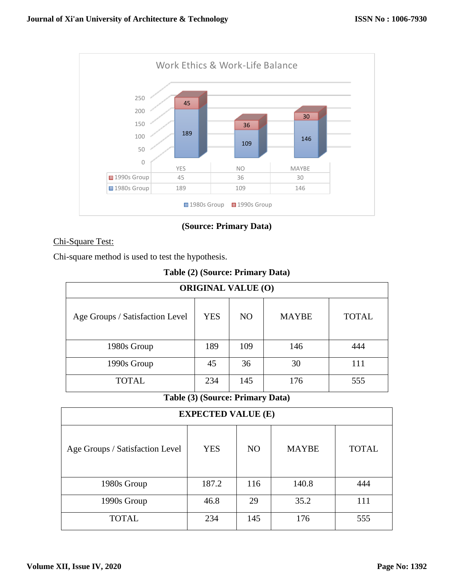

**(Source: Primary Data)**

# Chi-Square Test:

Chi-square method is used to test the hypothesis.

| Table (2) (Source: Primary Data) |  |  |  |
|----------------------------------|--|--|--|
|----------------------------------|--|--|--|

| <b>ORIGINAL VALUE (O)</b>       |            |                |              |              |
|---------------------------------|------------|----------------|--------------|--------------|
| Age Groups / Satisfaction Level | <b>YES</b> | N <sub>O</sub> | <b>MAYBE</b> | <b>TOTAL</b> |
| 1980s Group                     | 189        | 109            | 146          | 444          |
| 1990s Group                     | 45         | 36             | 30           | 111          |
| TOTAL                           | 234        | 145            | 176          | 555          |

# **Table (3) (Source: Primary Data)**

| <b>EXPECTED VALUE (E)</b>       |            |                |              |              |
|---------------------------------|------------|----------------|--------------|--------------|
| Age Groups / Satisfaction Level | <b>YES</b> | N <sub>O</sub> | <b>MAYBE</b> | <b>TOTAL</b> |
| 1980s Group                     | 187.2      | 116            | 140.8        | 444          |
| 1990s Group                     | 46.8       | 29             | 35.2         | 111          |
| <b>TOTAL</b>                    | 234        | 145            | 176          | 555          |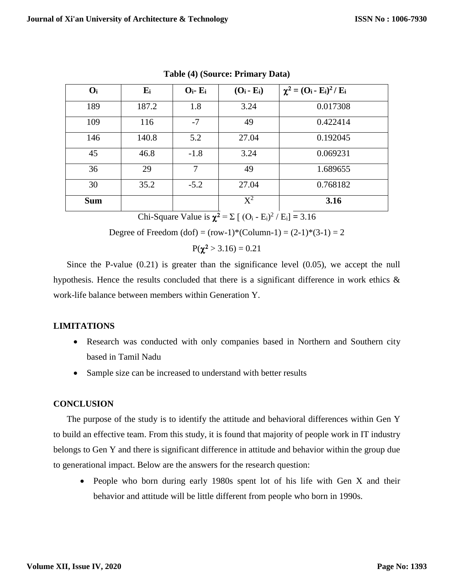| $O_i$      | $E_i$ | $O_i$ - $E_i$ | $(O_i - E_i)$ | $\chi^2 = (O_i - E_i)^2 / E_i$ |
|------------|-------|---------------|---------------|--------------------------------|
| 189        | 187.2 | 1.8           | 3.24          | 0.017308                       |
| 109        | 116   | $-7$          | 49            | 0.422414                       |
| 146        | 140.8 | 5.2           | 27.04         | 0.192045                       |
| 45         | 46.8  | $-1.8$        | 3.24          | 0.069231                       |
| 36         | 29    | 7             | 49            | 1.689655                       |
| 30         | 35.2  | $-5.2$        | 27.04         | 0.768182                       |
| <b>Sum</b> |       |               | $X^2$         | 3.16                           |

**Table (4) (Source: Primary Data)**

Chi-Square Value is  $\chi^2 = \Sigma [ (O_i - E_i)^2 / E_i ] = 3.16$ 

Degree of Freedom (dof) =  $(row-1)*(Column-1) = (2-1)*(3-1) = 2$ 

$$
P(\chi^2 > 3.16) = 0.21
$$

Since the P-value (0.21) is greater than the significance level (0.05), we accept the null hypothesis. Hence the results concluded that there is a significant difference in work ethics  $\&$ work-life balance between members within Generation Y.

# **LIMITATIONS**

- Research was conducted with only companies based in Northern and Southern city based in Tamil Nadu
- Sample size can be increased to understand with better results

# **CONCLUSION**

The purpose of the study is to identify the attitude and behavioral differences within Gen Y to build an effective team. From this study, it is found that majority of people work in IT industry belongs to Gen Y and there is significant difference in attitude and behavior within the group due to generational impact. Below are the answers for the research question:

• People who born during early 1980s spent lot of his life with Gen X and their behavior and attitude will be little different from people who born in 1990s.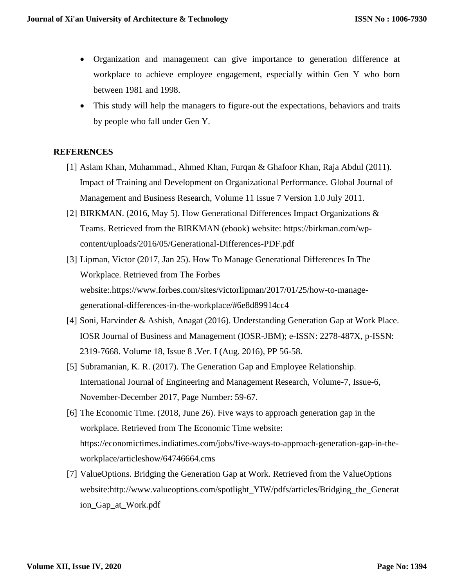- Organization and management can give importance to generation difference at workplace to achieve employee engagement, especially within Gen Y who born between 1981 and 1998.
- This study will help the managers to figure-out the expectations, behaviors and traits by people who fall under Gen Y.

## **REFERENCES**

- [1] Aslam Khan, Muhammad., Ahmed Khan, Furqan & Ghafoor Khan, Raja Abdul (2011). Impact of Training and Development on Organizational Performance. Global Journal of Management and Business Research, Volume 11 Issue 7 Version 1.0 July 2011.
- [2] BIRKMAN. (2016, May 5). How Generational Differences Impact Organizations & Teams. Retrieved from the BIRKMAN (ebook) website: https://birkman.com/wpcontent/uploads/2016/05/Generational-Differences-PDF.pdf
- [3] Lipman, Victor (2017, Jan 25). How To Manage Generational Differences In The Workplace. Retrieved from The Forbes website:.https://www.forbes.com/sites/victorlipman/2017/01/25/how-to-managegenerational-differences-in-the-workplace/#6e8d89914cc4
- [4] Soni, Harvinder & Ashish, Anagat (2016). Understanding Generation Gap at Work Place. IOSR Journal of Business and Management (IOSR-JBM); e-ISSN: 2278-487X, p-ISSN: 2319-7668. Volume 18, Issue 8 .Ver. I (Aug. 2016), PP 56-58.
- [5] Subramanian, K. R. (2017). The Generation Gap and Employee Relationship. International Journal of Engineering and Management Research, Volume-7, Issue-6, November-December 2017, Page Number: 59-67.
- [6] The Economic Time. (2018, June 26). Five ways to approach generation gap in the workplace. Retrieved from The Economic Time website: https://economictimes.indiatimes.com/jobs/five-ways-to-approach-generation-gap-in-theworkplace/articleshow/64746664.cms
- [7] ValueOptions. Bridging the Generation Gap at Work. Retrieved from the ValueOptions website:http://www.valueoptions.com/spotlight\_YIW/pdfs/articles/Bridging\_the\_Generat ion\_Gap\_at\_Work.pdf